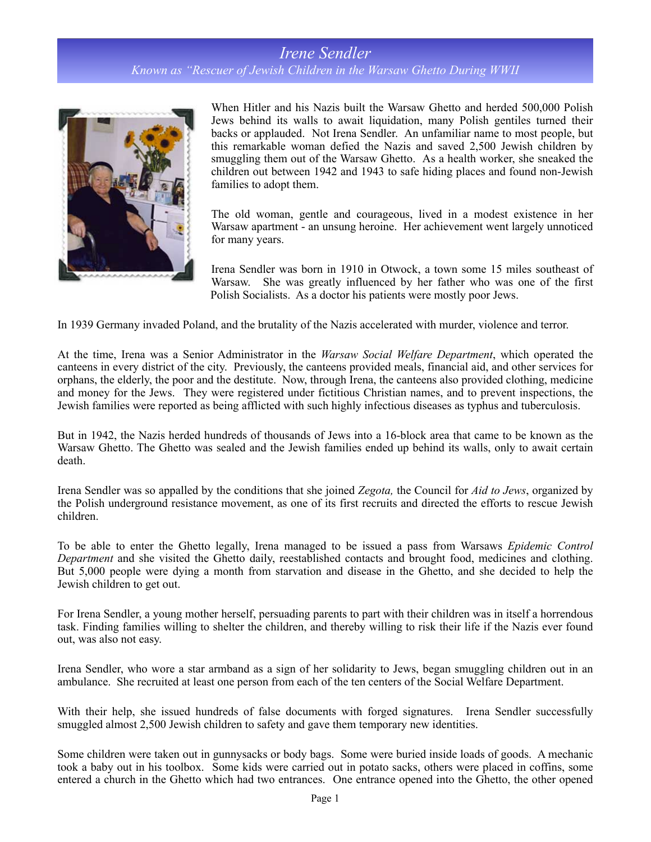## *Irene Sendler*

*Known as "Rescuer of Jewish Children in the Warsaw Ghetto During WWII*



When Hitler and his Nazis built the Warsaw Ghetto and herded 500,000 Polish Jews behind its walls to await liquidation, many Polish gentiles turned their backs or applauded. Not Irena Sendler. An unfamiliar name to most people, but this remarkable woman defied the Nazis and saved 2,500 Jewish children by smuggling them out of the Warsaw Ghetto. As a health worker, she sneaked the children out between 1942 and 1943 to safe hiding places and found non-Jewish families to adopt them.

The old woman, gentle and courageous, lived in a modest existence in her Warsaw apartment - an unsung heroine. Her achievement went largely unnoticed for many years.

Irena Sendler was born in 1910 in Otwock, a town some 15 miles southeast of Warsaw. She was greatly influenced by her father who was one of the first Polish Socialists. As a doctor his patients were mostly poor Jews.

In 1939 Germany invaded Poland, and the brutality of the Nazis accelerated with murder, violence and terror.

At the time, Irena was a Senior Administrator in the *Warsaw Social Welfare Department*, which operated the canteens in every district of the city. Previously, the canteens provided meals, financial aid, and other services for orphans, the elderly, the poor and the destitute. Now, through Irena, the canteens also provided clothing, medicine and money for the Jews. They were registered under fictitious Christian names, and to prevent inspections, the Jewish families were reported as being afflicted with such highly infectious diseases as typhus and tuberculosis.

But in 1942, the Nazis herded hundreds of thousands of Jews into a 16-block area that came to be known as the Warsaw Ghetto. The Ghetto was sealed and the Jewish families ended up behind its walls, only to await certain death.

Irena Sendler was so appalled by the conditions that she joined *Zegota,* the Council for *Aid to Jews*, organized by the Polish underground resistance movement, as one of its first recruits and directed the efforts to rescue Jewish children.

To be able to enter the Ghetto legally, Irena managed to be issued a pass from Warsaws *Epidemic Control Department* and she visited the Ghetto daily, reestablished contacts and brought food, medicines and clothing. But 5,000 people were dying a month from starvation and disease in the Ghetto, and she decided to help the Jewish children to get out.

For Irena Sendler, a young mother herself, persuading parents to part with their children was in itself a horrendous task. Finding families willing to shelter the children, and thereby willing to risk their life if the Nazis ever found out, was also not easy.

Irena Sendler, who wore a star armband as a sign of her solidarity to Jews, began smuggling children out in an ambulance. She recruited at least one person from each of the ten centers of the Social Welfare Department.

With their help, she issued hundreds of false documents with forged signatures. Irena Sendler successfully smuggled almost 2,500 Jewish children to safety and gave them temporary new identities.

Some children were taken out in gunnysacks or body bags. Some were buried inside loads of goods. A mechanic took a baby out in his toolbox. Some kids were carried out in potato sacks, others were placed in coffins, some entered a church in the Ghetto which had two entrances. One entrance opened into the Ghetto, the other opened